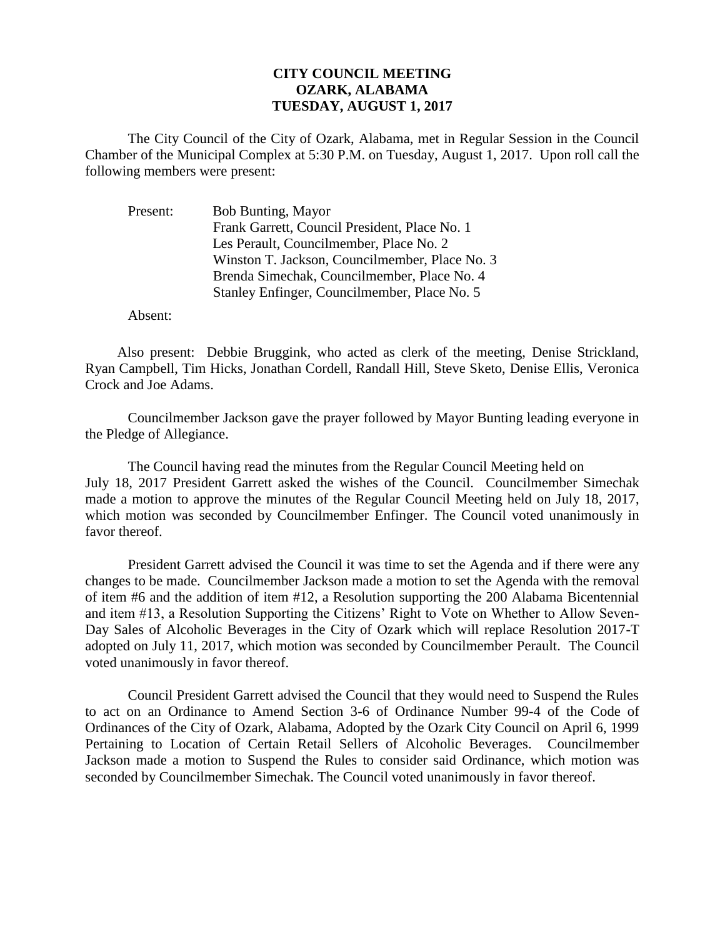## **CITY COUNCIL MEETING OZARK, ALABAMA TUESDAY, AUGUST 1, 2017**

The City Council of the City of Ozark, Alabama, met in Regular Session in the Council Chamber of the Municipal Complex at 5:30 P.M. on Tuesday, August 1, 2017. Upon roll call the following members were present:

| Present: | <b>Bob Bunting, Mayor</b>                      |
|----------|------------------------------------------------|
|          | Frank Garrett, Council President, Place No. 1  |
|          | Les Perault, Councilmember, Place No. 2        |
|          | Winston T. Jackson, Councilmember, Place No. 3 |
|          | Brenda Simechak, Councilmember, Place No. 4    |
|          | Stanley Enfinger, Councilmember, Place No. 5   |
|          |                                                |

Absent:

Also present: Debbie Bruggink, who acted as clerk of the meeting, Denise Strickland, Ryan Campbell, Tim Hicks, Jonathan Cordell, Randall Hill, Steve Sketo, Denise Ellis, Veronica Crock and Joe Adams.

Councilmember Jackson gave the prayer followed by Mayor Bunting leading everyone in the Pledge of Allegiance.

The Council having read the minutes from the Regular Council Meeting held on July 18, 2017 President Garrett asked the wishes of the Council. Councilmember Simechak made a motion to approve the minutes of the Regular Council Meeting held on July 18, 2017, which motion was seconded by Councilmember Enfinger. The Council voted unanimously in favor thereof.

President Garrett advised the Council it was time to set the Agenda and if there were any changes to be made. Councilmember Jackson made a motion to set the Agenda with the removal of item #6 and the addition of item #12, a Resolution supporting the 200 Alabama Bicentennial and item #13, a Resolution Supporting the Citizens' Right to Vote on Whether to Allow Seven-Day Sales of Alcoholic Beverages in the City of Ozark which will replace Resolution 2017-T adopted on July 11, 2017, which motion was seconded by Councilmember Perault. The Council voted unanimously in favor thereof.

Council President Garrett advised the Council that they would need to Suspend the Rules to act on an Ordinance to Amend Section 3-6 of Ordinance Number 99-4 of the Code of Ordinances of the City of Ozark, Alabama, Adopted by the Ozark City Council on April 6, 1999 Pertaining to Location of Certain Retail Sellers of Alcoholic Beverages. Councilmember Jackson made a motion to Suspend the Rules to consider said Ordinance, which motion was seconded by Councilmember Simechak. The Council voted unanimously in favor thereof.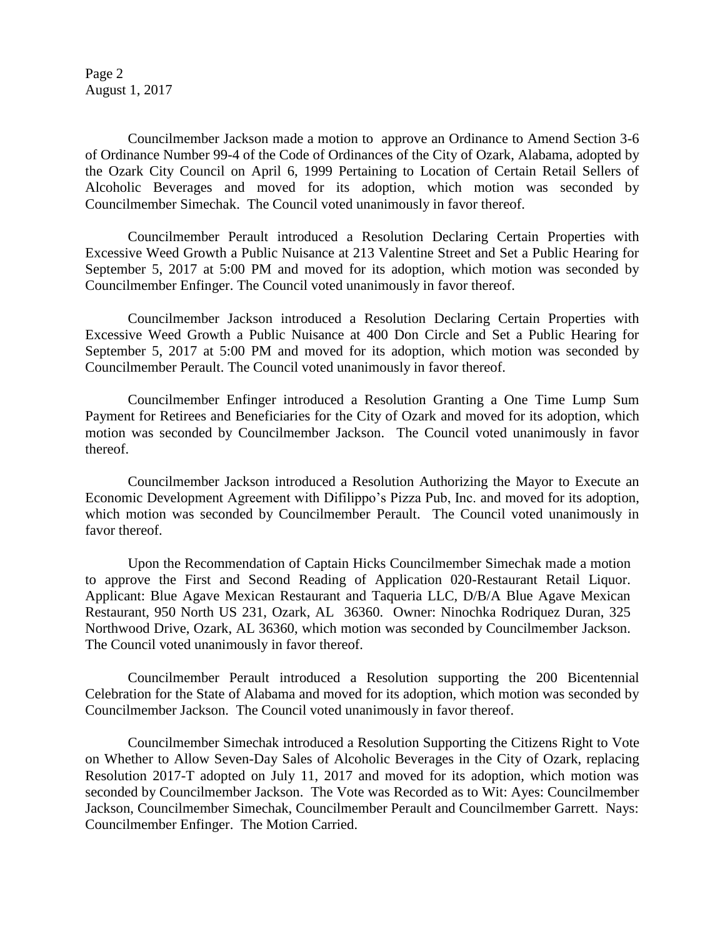Page 2 August 1, 2017

Councilmember Jackson made a motion to approve an Ordinance to Amend Section 3-6 of Ordinance Number 99-4 of the Code of Ordinances of the City of Ozark, Alabama, adopted by the Ozark City Council on April 6, 1999 Pertaining to Location of Certain Retail Sellers of Alcoholic Beverages and moved for its adoption, which motion was seconded by Councilmember Simechak. The Council voted unanimously in favor thereof.

Councilmember Perault introduced a Resolution Declaring Certain Properties with Excessive Weed Growth a Public Nuisance at 213 Valentine Street and Set a Public Hearing for September 5, 2017 at 5:00 PM and moved for its adoption, which motion was seconded by Councilmember Enfinger. The Council voted unanimously in favor thereof.

Councilmember Jackson introduced a Resolution Declaring Certain Properties with Excessive Weed Growth a Public Nuisance at 400 Don Circle and Set a Public Hearing for September 5, 2017 at 5:00 PM and moved for its adoption, which motion was seconded by Councilmember Perault. The Council voted unanimously in favor thereof.

Councilmember Enfinger introduced a Resolution Granting a One Time Lump Sum Payment for Retirees and Beneficiaries for the City of Ozark and moved for its adoption, which motion was seconded by Councilmember Jackson. The Council voted unanimously in favor thereof.

Councilmember Jackson introduced a Resolution Authorizing the Mayor to Execute an Economic Development Agreement with Difilippo's Pizza Pub, Inc. and moved for its adoption, which motion was seconded by Councilmember Perault. The Council voted unanimously in favor thereof.

Upon the Recommendation of Captain Hicks Councilmember Simechak made a motion to approve the First and Second Reading of Application 020-Restaurant Retail Liquor. Applicant: Blue Agave Mexican Restaurant and Taqueria LLC, D/B/A Blue Agave Mexican Restaurant, 950 North US 231, Ozark, AL 36360. Owner: Ninochka Rodriquez Duran, 325 Northwood Drive, Ozark, AL 36360, which motion was seconded by Councilmember Jackson. The Council voted unanimously in favor thereof.

Councilmember Perault introduced a Resolution supporting the 200 Bicentennial Celebration for the State of Alabama and moved for its adoption, which motion was seconded by Councilmember Jackson. The Council voted unanimously in favor thereof.

Councilmember Simechak introduced a Resolution Supporting the Citizens Right to Vote on Whether to Allow Seven-Day Sales of Alcoholic Beverages in the City of Ozark, replacing Resolution 2017-T adopted on July 11, 2017 and moved for its adoption, which motion was seconded by Councilmember Jackson. The Vote was Recorded as to Wit: Ayes: Councilmember Jackson, Councilmember Simechak, Councilmember Perault and Councilmember Garrett. Nays: Councilmember Enfinger. The Motion Carried.